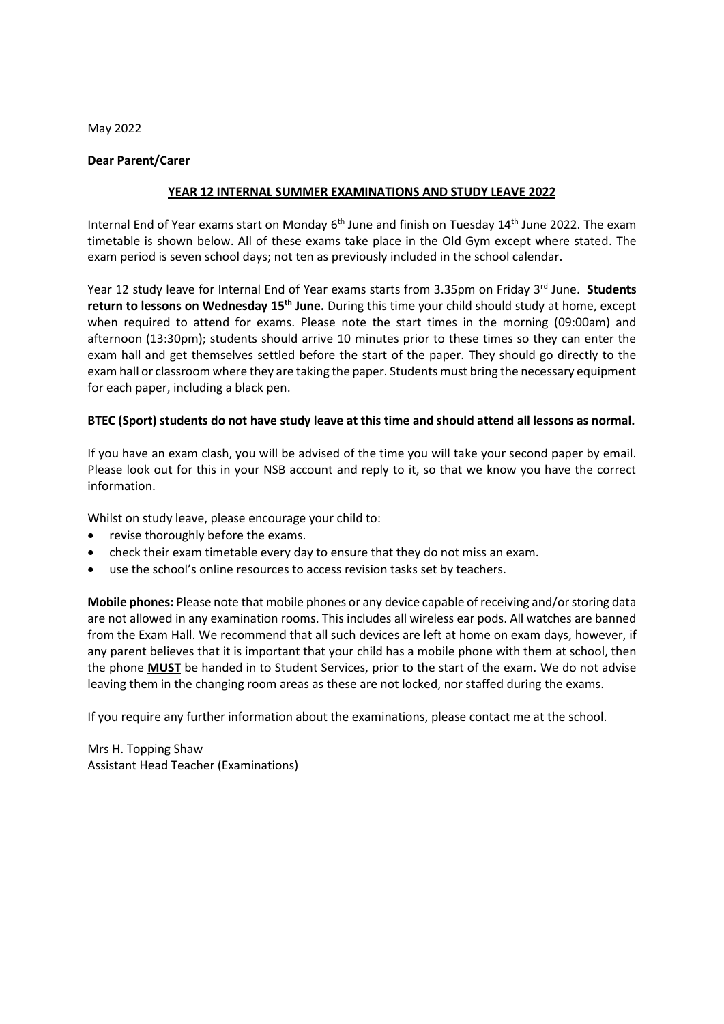May 2022

## **Dear Parent/Carer**

## **YEAR 12 INTERNAL SUMMER EXAMINATIONS AND STUDY LEAVE 2022**

Internal End of Year exams start on Monday 6<sup>th</sup> June and finish on Tuesday 14<sup>th</sup> June 2022. The exam timetable is shown below. All of these exams take place in the Old Gym except where stated. The exam period is seven school days; not ten as previously included in the school calendar.

Year 12 study leave for Internal End of Year exams starts from 3.35pm on Friday 3 rd June. **Students**  return to lessons on Wednesday 15<sup>th</sup> June. During this time your child should study at home, except when required to attend for exams. Please note the start times in the morning (09:00am) and afternoon (13:30pm); students should arrive 10 minutes prior to these times so they can enter the exam hall and get themselves settled before the start of the paper. They should go directly to the exam hall or classroom where they are taking the paper. Students must bring the necessary equipment for each paper, including a black pen.

## **BTEC (Sport) students do not have study leave at this time and should attend all lessons as normal.**

If you have an exam clash, you will be advised of the time you will take your second paper by email. Please look out for this in your NSB account and reply to it, so that we know you have the correct information.

Whilst on study leave, please encourage your child to:

- revise thoroughly before the exams.
- check their exam timetable every day to ensure that they do not miss an exam.
- use the school's online resources to access revision tasks set by teachers.

**Mobile phones:** Please note that mobile phones or any device capable of receiving and/or storing data are not allowed in any examination rooms. This includes all wireless ear pods. All watches are banned from the Exam Hall. We recommend that all such devices are left at home on exam days, however, if any parent believes that it is important that your child has a mobile phone with them at school, then the phone **MUST** be handed in to Student Services, prior to the start of the exam. We do not advise leaving them in the changing room areas as these are not locked, nor staffed during the exams.

If you require any further information about the examinations, please contact me at the school.

Mrs H. Topping Shaw Assistant Head Teacher (Examinations)